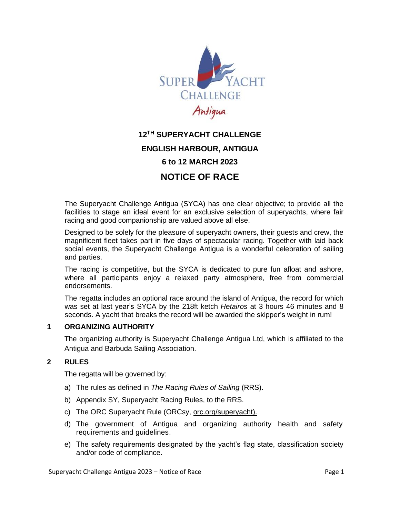

# **12 TH SUPERYACHT CHALLENGE ENGLISH HARBOUR, ANTIGUA 6 to 12 MARCH 2023 NOTICE OF RACE**

The Superyacht Challenge Antigua (SYCA) has one clear objective; to provide all the facilities to stage an ideal event for an exclusive selection of superyachts, where fair racing and good companionship are valued above all else.

Designed to be solely for the pleasure of superyacht owners, their guests and crew, the magnificent fleet takes part in five days of spectacular racing. Together with laid back social events, the Superyacht Challenge Antigua is a wonderful celebration of sailing and parties.

The racing is competitive, but the SYCA is dedicated to pure fun afloat and ashore, where all participants enjoy a relaxed party atmosphere, free from commercial endorsements.

The regatta includes an optional race around the island of Antigua, the record for which was set at last year's SYCA by the 218ft ketch *Hetairos* at 3 hours 46 minutes and 8 seconds. A yacht that breaks the record will be awarded the skipper's weight in rum!

# **1 ORGANIZING AUTHORITY**

The organizing authority is Superyacht Challenge Antigua Ltd, which is affiliated to the Antigua and Barbuda Sailing Association.

# **2 RULES**

The regatta will be governed by:

- a) The rules as defined in *The Racing Rules of Sailing* (RRS).
- b) Appendix SY, Superyacht Racing Rules, to the RRS.
- c) The ORC Superyacht Rule (ORCsy, [orc.org/superyacht\)](http://www.orc.org/superyacht).
- d) The government of Antigua and organizing authority health and safety requirements and guidelines.
- e) The safety requirements designated by the yacht's flag state, classification society and/or code of compliance.

Superyacht Challenge Antigua 2023 – Notice of Race Page 1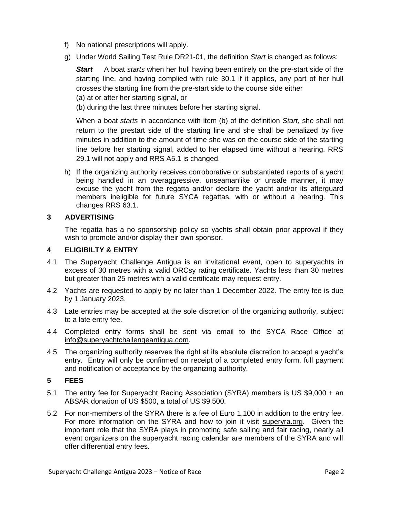- f) No national prescriptions will apply.
- g) Under World Sailing Test Rule DR21-01, the definition *Start* is changed as follows:

**Start** A boat *starts* when her hull having been entirely on the pre-start side of the starting line, and having complied with rule 30.1 if it applies, any part of her hull crosses the starting line from the pre-start side to the course side either

(a) at or after her starting signal, or

(b) during the last three minutes before her starting signal.

When a boat *starts* in accordance with item (b) of the definition *Start*, she shall not return to the prestart side of the starting line and she shall be penalized by five minutes in addition to the amount of time she was on the course side of the starting line before her starting signal, added to her elapsed time without a hearing. RRS 29.1 will not apply and RRS A5.1 is changed.

h) If the organizing authority receives corroborative or substantiated reports of a yacht being handled in an overaggressive, unseamanlike or unsafe manner, it may excuse the yacht from the regatta and/or declare the yacht and/or its afterguard members ineligible for future SYCA regattas, with or without a hearing. This changes RRS 63.1.

# **3 ADVERTISING**

 The regatta has a no sponsorship policy so yachts shall obtain prior approval if they wish to promote and/or display their own sponsor.

# **4 ELIGIBILTY & ENTRY**

- 4.1 The Superyacht Challenge Antigua is an invitational event, open to superyachts in excess of 30 metres with a valid ORCsy rating certificate. Yachts less than 30 metres but greater than 25 metres with a valid certificate may request entry.
- 4.2 Yachts are requested to apply by no later than 1 December 2022. The entry fee is due by 1 January 2023.
- 4.3 Late entries may be accepted at the sole discretion of the organizing authority, subject to a late entry fee.
- 4.4 Completed entry forms shall be sent via email to the SYCA Race Office at [info@superyachtchallengeantigua.com.](mailto:info@superyachtchallengeantigua.com)
- 4.5 The organizing authority reserves the right at its absolute discretion to accept a yacht's entry. Entry will only be confirmed on receipt of a completed entry form, full payment and notification of acceptance by the organizing authority.

# **5 FEES**

- 5.1 The entry fee for Superyacht Racing Association (SYRA) members is US \$9,000 + an ABSAR donation of US \$500, a total of US \$9,500.
- 5.2 For non-members of the SYRA there is a fee of Euro 1,100 in addition to the entry fee. For more information on the SYRA and how to join it visit [superyra.org.](http://www.superyra.org/) Given the important role that the SYRA plays in promoting safe sailing and fair racing, nearly all event organizers on the superyacht racing calendar are members of the SYRA and will offer differential entry fees.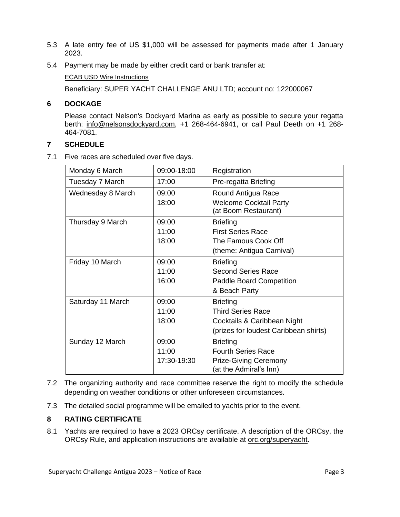- 5.3 A late entry fee of US \$1,000 will be assessed for payments made after 1 January 2023.
- 5.4 Payment may be made by either credit card or bank transfer at:

[ECAB USD Wire Instructions](http://www.ecabank.com/home/assets/files/ECAB%20USD%20Wire%20Instructions(1).pdf)

Beneficiary: SUPER YACHT CHALLENGE ANU LTD; account no: 122000067

# **6 DOCKAGE**

Please contact Nelson's Dockyard Marina as early as possible to secure your regatta berth: [info@nelsonsdockyard.com,](mailto:info@nelsonsdockyard.com) +1 268-464-6941, or call Paul Deeth on +1 268- 464-7081.

# **7 SCHEDULE**

7.1 Five races are scheduled over five days.

| Monday 6 March    | 09:00-18:00 | Registration                                          |
|-------------------|-------------|-------------------------------------------------------|
| Tuesday 7 March   | 17:00       | Pre-regatta Briefing                                  |
| Wednesday 8 March | 09:00       | Round Antigua Race                                    |
|                   | 18:00       | <b>Welcome Cocktail Party</b><br>(at Boom Restaurant) |
| Thursday 9 March  | 09:00       | <b>Briefing</b>                                       |
|                   | 11:00       | <b>First Series Race</b>                              |
|                   | 18:00       | The Famous Cook Off                                   |
|                   |             | (theme: Antigua Carnival)                             |
| Friday 10 March   | 09:00       | <b>Briefing</b>                                       |
|                   | 11:00       | Second Series Race                                    |
|                   | 16:00       | <b>Paddle Board Competition</b>                       |
|                   |             | & Beach Party                                         |
| Saturday 11 March | 09:00       | <b>Briefing</b>                                       |
|                   | 11:00       | <b>Third Series Race</b>                              |
|                   | 18:00       | Cocktails & Caribbean Night                           |
|                   |             | (prizes for loudest Caribbean shirts)                 |
| Sunday 12 March   | 09:00       | <b>Briefing</b>                                       |
|                   | 11:00       | <b>Fourth Series Race</b>                             |
|                   | 17:30-19:30 | <b>Prize-Giving Ceremony</b>                          |
|                   |             | (at the Admiral's Inn)                                |

- 7.2 The organizing authority and race committee reserve the right to modify the schedule depending on weather conditions or other unforeseen circumstances.
- 7.3 The detailed social programme will be emailed to yachts prior to the event.

# **8 RATING CERTIFICATE**

8.1 Yachts are required to have a 2023 ORCsy certificate. A description of the ORCsy, the ORCsy Rule, and application instructions are available at [orc.org/superyacht.](http://www.orc.org/superyacht)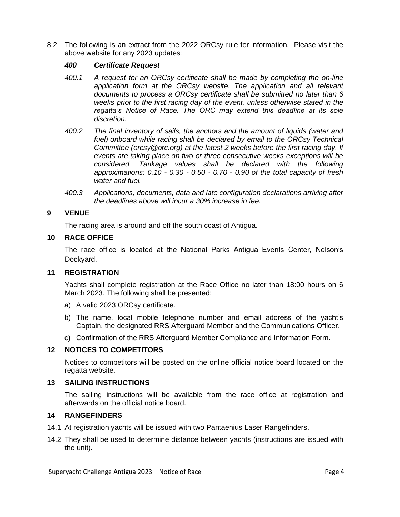8.2 The following is an extract from the 2022 ORCsy rule for information. Please visit the above website for any 2023 updates:

#### *400 Certificate Request*

- *400.1 A request for an ORCsy certificate shall be made by completing the on-line application form at the ORCsy website. The application and all relevant documents to process a ORCsy certificate shall be submitted no later than 6 weeks prior to the first racing day of the event, unless otherwise stated in the regatta's Notice of Race. The ORC may extend this deadline at its sole discretion.*
- *400.2 The final inventory of sails, the anchors and the amount of liquids (water and*  fuel) onboard while racing shall be declared by email to the ORCsy Technical *Committee [\(orcsy@orc.org\)](mailto:orcsy@orc.org) at the latest 2 weeks before the first racing day. If events are taking place on two or three consecutive weeks exceptions will be considered. Tankage values shall be declared with the following approximations: 0.10 - 0.30 - 0.50 - 0.70 - 0.90 of the total capacity of fresh water and fuel.*
- *400.3 Applications, documents, data and late configuration declarations arriving after the deadlines above will incur a 30% increase in fee.*

# **9 VENUE**

The racing area is around and off the south coast of Antigua.

## **10 RACE OFFICE**

The race office is located at the National Parks Antigua Events Center, Nelson's Dockyard.

## **11 REGISTRATION**

Yachts shall complete registration at the Race Office no later than 18:00 hours on 6 March 2023. The following shall be presented:

- a) A valid 2023 ORCsy certificate.
- b) The name, local mobile telephone number and email address of the yacht's Captain, the designated RRS Afterguard Member and the Communications Officer.
- c) Confirmation of the RRS Afterguard Member Compliance and Information Form.

## **12 NOTICES TO COMPETITORS**

Notices to competitors will be posted on the online official notice board located on the regatta website.

#### **13 SAILING INSTRUCTIONS**

The sailing instructions will be available from the race office at registration and afterwards on the official notice board.

## **14 RANGEFINDERS**

- 14.1 At registration yachts will be issued with two Pantaenius Laser Rangefinders.
- 14.2 They shall be used to determine distance between yachts (instructions are issued with the unit).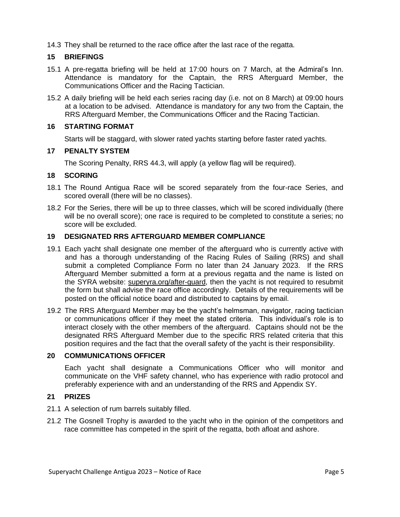14.3 They shall be returned to the race office after the last race of the regatta.

# **15 BRIEFINGS**

- 15.1 A pre-regatta briefing will be held at 17:00 hours on 7 March, at the Admiral's Inn. Attendance is mandatory for the Captain, the RRS Afterguard Member, the Communications Officer and the Racing Tactician.
- 15.2 A daily briefing will be held each series racing day (i.e. not on 8 March) at 09:00 hours at a location to be advised. Attendance is mandatory for any two from the Captain, the RRS Afterguard Member, the Communications Officer and the Racing Tactician.

# **16 STARTING FORMAT**

Starts will be staggard, with slower rated yachts starting before faster rated yachts.

# **17 PENALTY SYSTEM**

The Scoring Penalty, RRS 44.3, will apply (a yellow flag will be required).

# **18 SCORING**

- 18.1 The Round Antigua Race will be scored separately from the four-race Series, and scored overall (there will be no classes).
- 18.2 For the Series, there will be up to three classes, which will be scored individually (there will be no overall score); one race is required to be completed to constitute a series; no score will be excluded.

# **19 DESIGNATED RRS AFTERGUARD MEMBER COMPLIANCE**

- 19.1 Each yacht shall designate one member of the afterguard who is currently active with and has a thorough understanding of the Racing Rules of Sailing (RRS) and shall submit a completed Compliance Form no later than 24 January 2023. If the RRS Afterguard Member submitted a form at a previous regatta and the name is listed on the SYRA website: [superyra.org/after-guard,](https://superyra.org/after-guard/) then the yacht is not required to resubmit the form but shall advise the race office accordingly. Details of the requirements will be posted on the official notice board and distributed to captains by email.
- 19.2 The RRS Afterguard Member may be the yacht's helmsman, navigator, racing tactician or communications officer if they meet the stated criteria. This individual's role is to interact closely with the other members of the afterguard. Captains should not be the designated RRS Afterguard Member due to the specific RRS related criteria that this position requires and the fact that the overall safety of the yacht is their responsibility.

## **20 COMMUNICATIONS OFFICER**

Each yacht shall designate a Communications Officer who will monitor and communicate on the VHF safety channel, who has experience with radio protocol and preferably experience with and an understanding of the RRS and Appendix SY.

## **21 PRIZES**

- 21.1 A selection of rum barrels suitably filled.
- 21.2 The Gosnell Trophy is awarded to the yacht who in the opinion of the competitors and race committee has competed in the spirit of the regatta, both afloat and ashore.